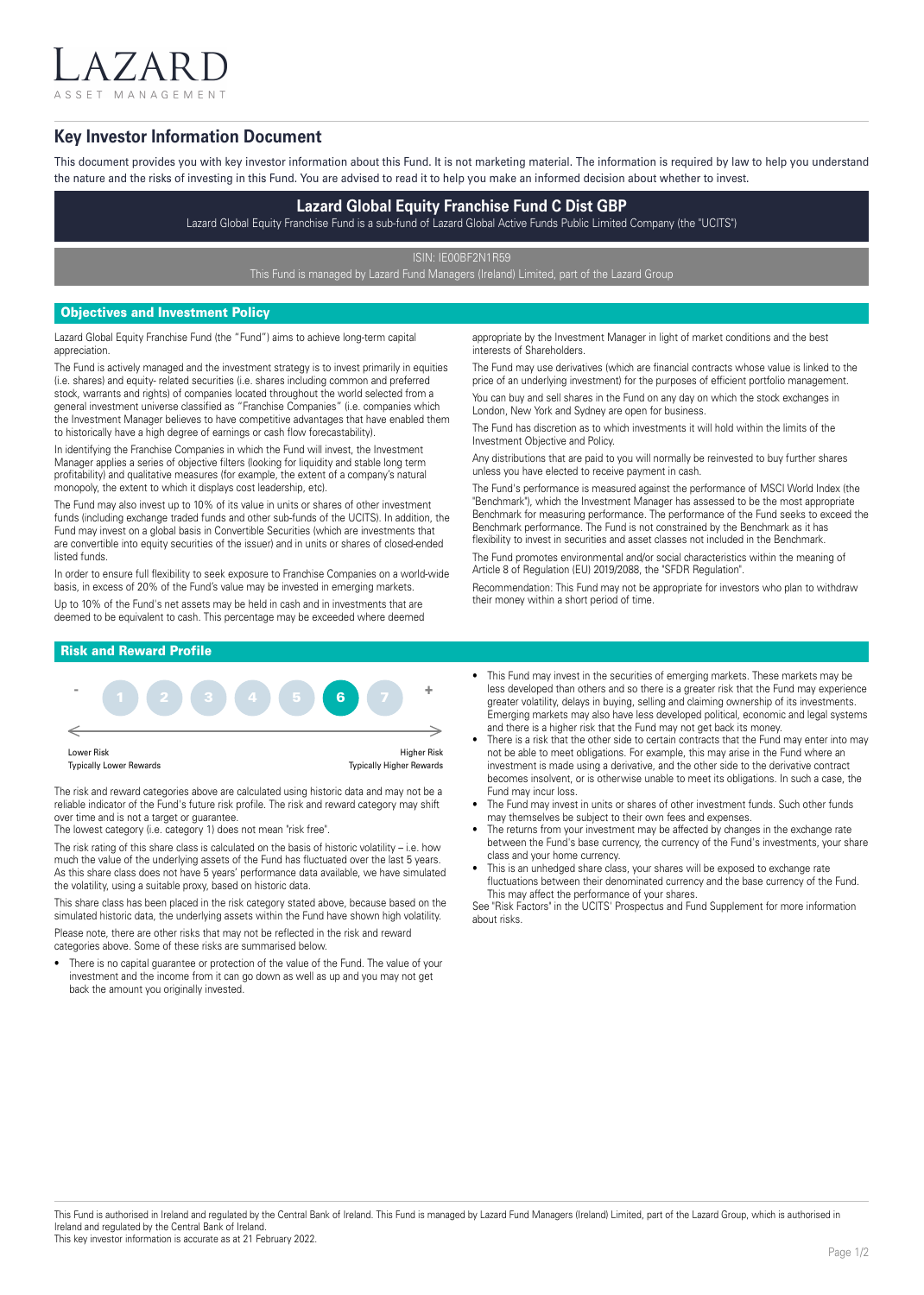A 7 A R ASSET MANAGEMENT

# **Key Investor Information Document**

This document provides you with key investor information about this Fund. It is not marketing material. The information is required by law to help you understand the nature and the risks of investing in this Fund. You are advised to read it to help you make an informed decision about whether to invest.

## **Lazard Global Equity Franchise Fund C Dist GBP**

Lazard Global Equity Franchise Fund is a sub-fund of Lazard Global Active Funds Public Limited Company (the "UCITS")

ISIN: IE00BF2N1R59

This Fund is managed by Lazard Fund Managers (Ireland) Limited, part of the Lazard Group

## Objectives and Investment Policy

Lazard Global Equity Franchise Fund (the "Fund") aims to achieve long-term capital appreciation.

The Fund is actively managed and the investment strategy is to invest primarily in equities (i.e. shares) and equity- related securities (i.e. shares including common and preferred stock, warrants and rights) of companies located throughout the world selected from a general investment universe classified as "Franchise Companies" (i.e. companies which the Investment Manager believes to have competitive advantages that have enabled them to historically have a high degree of earnings or cash flow forecastability).

In identifying the Franchise Companies in which the Fund will invest, the Investment Manager applies a series of objective filters (looking for liquidity and stable long term profitability) and qualitative measures (for example, the extent of a company's natural monopoly, the extent to which it displays cost leadership, etc).

The Fund may also invest up to 10% of its value in units or shares of other investment funds (including exchange traded funds and other sub-funds of the UCITS). In addition, the Fund may invest on a global basis in Convertible Securities (which are investments that are convertible into equity securities of the issuer) and in units or shares of closed-ended listed funds.

In order to ensure full flexibility to seek exposure to Franchise Companies on a world-wide basis, in excess of 20% of the Fund's value may be invested in emerging markets. Up to 10% of the Fund's net assets may be held in cash and in investments that are deemed to be equivalent to cash. This percentage may be exceeded where deemed

appropriate by the Investment Manager in light of market conditions and the best interests of Shareholders.

The Fund may use derivatives (which are financial contracts whose value is linked to the price of an underlying investment) for the purposes of efficient portfolio management. You can buy and sell shares in the Fund on any day on which the stock exchanges in London, New York and Sydney are open for business.

The Fund has discretion as to which investments it will hold within the limits of the Investment Objective and Policy.

Any distributions that are paid to you will normally be reinvested to buy further shares unless you have elected to receive payment in cash.

The Fund's performance is measured against the performance of MSCI World Index (the "Benchmark"), which the Investment Manager has assessed to be the most appropriate Benchmark for measuring performance. The performance of the Fund seeks to exceed the Benchmark performance. The Fund is not constrained by the Benchmark as it has flexibility to invest in securities and asset classes not included in the Benchmark.

The Fund promotes environmental and/or social characteristics within the meaning of Article 8 of Regulation (EU) 2019/2088, the "SFDR Regulation".

Recommendation: This Fund may not be appropriate for investors who plan to withdraw their money within a short period of time.

### Risk and Reward Profile



The risk and reward categories above are calculated using historic data and may not be a reliable indicator of the Fund's future risk profile. The risk and reward category may shift over time and is not a target or quarantee.

The lowest category (i.e. category 1) does not mean "risk free".

The risk rating of this share class is calculated on the basis of historic volatility – i.e. how much the value of the underlying assets of the Fund has fluctuated over the last 5 years. As this share class does not have 5 years' performance data available, we have simulated the volatility, using a suitable proxy, based on historic data.

This share class has been placed in the risk category stated above, because based on the simulated historic data, the underlying assets within the Fund have shown high volatility. Please note, there are other risks that may not be reflected in the risk and reward

categories above. Some of these risks are summarised below.

There is no capital guarantee or protection of the value of the Fund. The value of your investment and the income from it can go down as well as up and you may not get back the amount you originally invested.

- This Fund may invest in the securities of emerging markets. These markets may be less developed than others and so there is a greater risk that the Fund may experience greater volatility, delays in buying, selling and claiming ownership of its investments. Emerging markets may also have less developed political, economic and legal systems and there is a higher risk that the Fund may not get back its money.
- There is a risk that the other side to certain contracts that the Fund may enter into may not be able to meet obligations. For example, this may arise in the Fund where an investment is made using a derivative, and the other side to the derivative contract becomes insolvent, or is otherwise unable to meet its obligations. In such a case, the Fund may incur loss.
- The Fund may invest in units or shares of other investment funds. Such other funds may themselves be subject to their own fees and expenses.
- The returns from your investment may be affected by changes in the exchange rate between the Fund's base currency, the currency of the Fund's investments, your share class and your home currency.
- This is an unhedged share class, your shares will be exposed to exchange rate fluctuations between their denominated currency and the base currency of the Fund. This may affect the performance of your shares.

See "Risk Factors" in the UCITS' Prospectus and Fund Supplement for more information about risks.